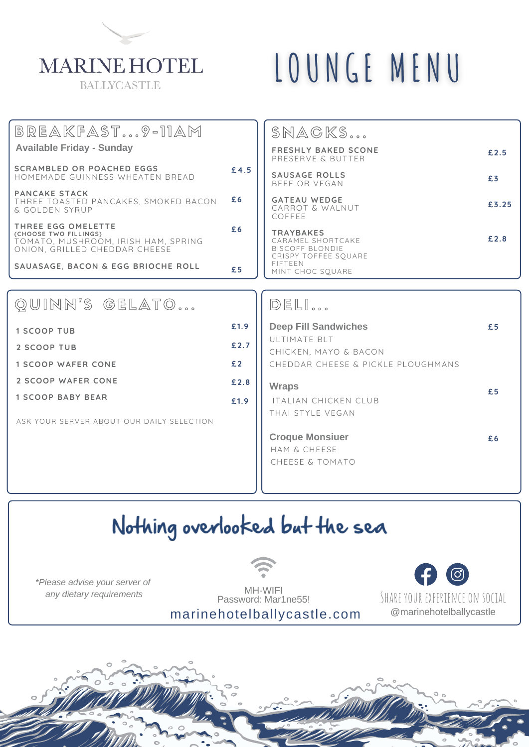## **MARINE HOTEL BALLYCASTLE**

## LOUNGE MENU

|      | SNAGKS                                                   |                                                                                                              |
|------|----------------------------------------------------------|--------------------------------------------------------------------------------------------------------------|
|      | <b>FRESHLY BAKED SCONE</b><br>PRESERVE & BUTTER          | £2.5                                                                                                         |
| £4.5 | <b>SAUSAGE ROLLS</b>                                     | £3                                                                                                           |
| £6   | <b>GATEAU WEDGE</b><br>CARROT & WALNUT<br>COFFFF         | £3.25                                                                                                        |
| £6   | TRAYBAKES<br>CARAMEL SHORTCAKE<br><b>BISCOFF BLONDIE</b> | £2.8                                                                                                         |
| £5   | FIFTEEN<br>MINT CHOC SOUARE                              |                                                                                                              |
|      |                                                          |                                                                                                              |
|      | DELI                                                     |                                                                                                              |
| £1.9 | <b>Deep Fill Sandwiches</b>                              | £5                                                                                                           |
| £2.7 | CHICKEN, MAYO & BACON                                    |                                                                                                              |
| £2   | CHEDDAR CHEESE & PICKLE PLOUGHMANS                       |                                                                                                              |
| £2.8 | <b>Wraps</b>                                             | £5                                                                                                           |
| £1.9 | <b>ITALIAN CHICKEN CLUB</b>                              |                                                                                                              |
|      |                                                          |                                                                                                              |
|      | <b>Croque Monsiuer</b>                                   | £6                                                                                                           |
|      |                                                          |                                                                                                              |
|      |                                                          |                                                                                                              |
|      |                                                          |                                                                                                              |
|      |                                                          | BEEF OR VEGAN<br>CRISPY TOFFEE SOUARE<br>ULTIMATE BLT<br>THAI STYLE VEGAN<br>HAM & CHEESE<br>CHEESE & TOMATO |

## Nothing overlooked but the sea

*\*Please advise your server of any dietary requirements*



<u>(ල)</u> SHARE YOUR EXPERIENCE ON SOCIAL @marinehotelballycastle

marinehotelballycastle.com MH-WIFI Password: Mar1ne55!